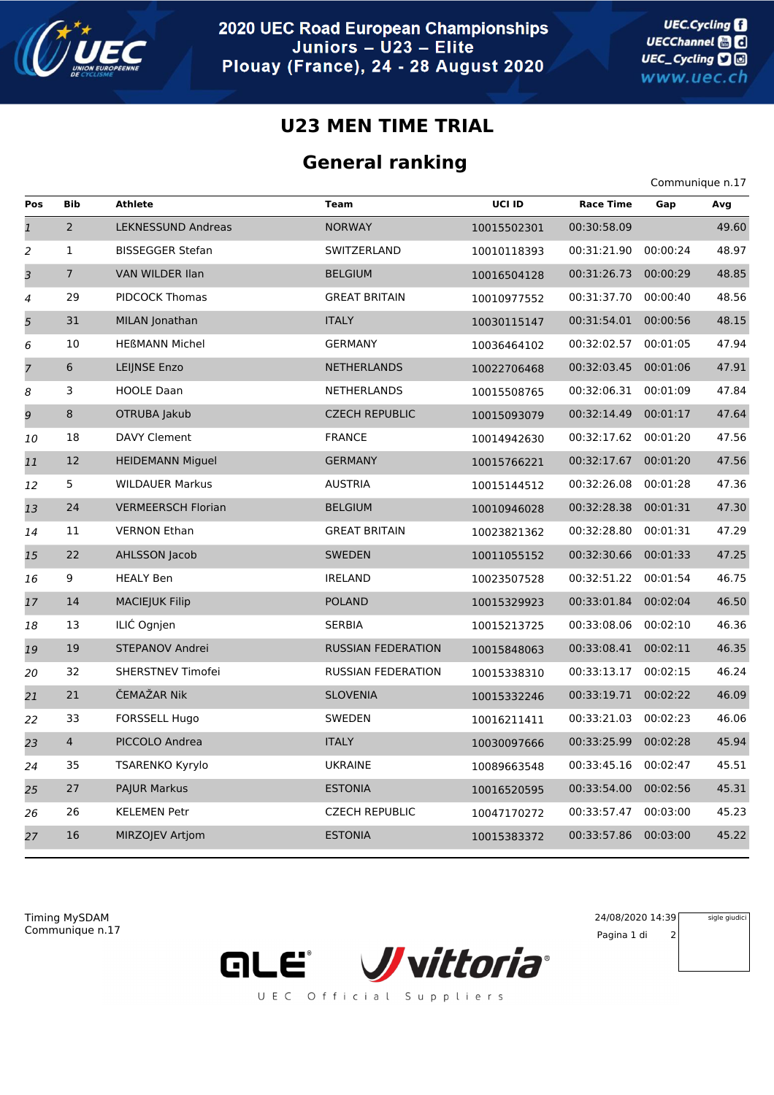

## **U23 MEN TIME TRIAL**

## **General ranking**

|                |                |                           |                           |             |                      | Communique n.17 |       |
|----------------|----------------|---------------------------|---------------------------|-------------|----------------------|-----------------|-------|
| Pos            | <b>Bib</b>     | <b>Athlete</b>            | <b>Team</b>               | UCI ID      | <b>Race Time</b>     | Gap             | Avq   |
| $\overline{1}$ | $\overline{2}$ | <b>LEKNESSUND Andreas</b> | <b>NORWAY</b>             | 10015502301 | 00:30:58.09          |                 | 49.60 |
| 2              | $\mathbf{1}$   | <b>BISSEGGER Stefan</b>   | SWITZERLAND               | 10010118393 | 00:31:21.90          | 00:00:24        | 48.97 |
| 3              | $\overline{7}$ | VAN WILDER IIan           | <b>BELGIUM</b>            | 10016504128 | 00:31:26.73          | 00:00:29        | 48.85 |
| 4              | 29             | PIDCOCK Thomas            | <b>GREAT BRITAIN</b>      | 10010977552 | 00:31:37.70          | 00:00:40        | 48.56 |
| 5              | 31             | MILAN Jonathan            | <b>ITALY</b>              | 10030115147 | 00:31:54.01          | 00:00:56        | 48.15 |
| 6              | 10             | <b>HEßMANN Michel</b>     | <b>GERMANY</b>            | 10036464102 | 00:32:02.57          | 00:01:05        | 47.94 |
| $\overline{7}$ | 6              | LEIJNSE Enzo              | <b>NETHERLANDS</b>        | 10022706468 | 00:32:03.45          | 00:01:06        | 47.91 |
| 8              | 3              | <b>HOOLE Daan</b>         | NETHERLANDS               | 10015508765 | 00:32:06.31 00:01:09 |                 | 47.84 |
| 9              | 8              | OTRUBA Jakub              | <b>CZECH REPUBLIC</b>     | 10015093079 | 00:32:14.49          | 00:01:17        | 47.64 |
| 10             | 18             | DAVY Clement              | <b>FRANCE</b>             | 10014942630 | 00:32:17.62          | 00:01:20        | 47.56 |
| 11             | 12             | <b>HEIDEMANN Miguel</b>   | <b>GERMANY</b>            | 10015766221 | 00:32:17.67          | 00:01:20        | 47.56 |
| 12             | 5              | <b>WILDAUER Markus</b>    | <b>AUSTRIA</b>            | 10015144512 | 00:32:26.08          | 00:01:28        | 47.36 |
| 13             | 24             | <b>VERMEERSCH Florian</b> | <b>BELGIUM</b>            | 10010946028 | 00:32:28.38          | 00:01:31        | 47.30 |
| 14             | 11             | <b>VERNON Ethan</b>       | <b>GREAT BRITAIN</b>      | 10023821362 | 00:32:28.80          | 00:01:31        | 47.29 |
| 15             | 22             | AHLSSON Jacob             | <b>SWEDEN</b>             | 10011055152 | 00:32:30.66          | 00:01:33        | 47.25 |
| 16             | 9              | <b>HEALY Ben</b>          | <b>IRELAND</b>            | 10023507528 | 00:32:51.22          | 00:01:54        | 46.75 |
| 17             | 14             | <b>MACIEJUK Filip</b>     | <b>POLAND</b>             | 10015329923 | 00:33:01.84          | 00:02:04        | 46.50 |
| 18             | 13             | ILIC Ognjen               | <b>SERBIA</b>             | 10015213725 | 00:33:08.06          | 00:02:10        | 46.36 |
| 19             | 19             | STEPANOV Andrei           | <b>RUSSIAN FEDERATION</b> | 10015848063 | 00:33:08.41          | 00:02:11        | 46.35 |
| 20             | 32             | SHERSTNEV Timofei         | <b>RUSSIAN FEDERATION</b> | 10015338310 | 00:33:13.17          | 00:02:15        | 46.24 |
| 21             | 21             | ČEMAŽAR Nik               | <b>SLOVENIA</b>           | 10015332246 | 00:33:19.71          | 00:02:22        | 46.09 |
| 22             | 33             | <b>FORSSELL Hugo</b>      | SWEDEN                    | 10016211411 | 00:33:21.03          | 00:02:23        | 46.06 |
| 23             | $\overline{4}$ | PICCOLO Andrea            | <b>ITALY</b>              | 10030097666 | 00:33:25.99          | 00:02:28        | 45.94 |
| 24             | 35             | <b>TSARENKO Kyrylo</b>    | <b>UKRAINE</b>            | 10089663548 | 00:33:45.16          | 00:02:47        | 45.51 |
| 25             | 27             | <b>PAJUR Markus</b>       | <b>ESTONIA</b>            | 10016520595 | 00:33:54.00          | 00:02:56        | 45.31 |
| 26             | 26             | <b>KELEMEN Petr</b>       | <b>CZECH REPUBLIC</b>     | 10047170272 | 00:33:57.47          | 00:03:00        | 45.23 |
| 27             | 16             | MIRZOJEV Artjom           | <b>ESTONIA</b>            | 10015383372 | 00:33:57.86 00:03:00 |                 | 45.22 |
|                |                |                           |                           |             |                      |                 |       |

Communique n.17 Timing MySDAM 24/08/2020 14:39



Pagina 1 di 2

sigle giudici